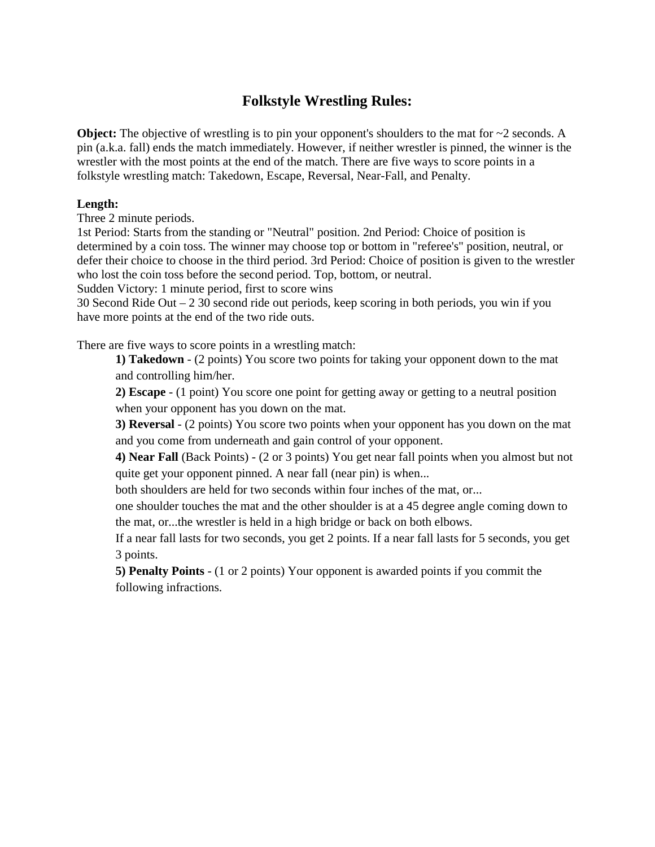## **Folkstyle Wrestling Rules:**

**Object:** The objective of wrestling is to pin your opponent's shoulders to the mat for  $\sim$ 2 seconds. A pin (a.k.a. fall) ends the match immediately. However, if neither wrestler is pinned, the winner is the wrestler with the most points at the end of the match. There are five ways to score points in a folkstyle wrestling match: Takedown, Escape, Reversal, Near-Fall, and Penalty.

## **Length:**

Three 2 minute periods.

1st Period: Starts from the standing or "Neutral" position. 2nd Period: Choice of position is determined by a coin toss. The winner may choose top or bottom in "referee's" position, neutral, or defer their choice to choose in the third period. 3rd Period: Choice of position is given to the wrestler who lost the coin toss before the second period. Top, bottom, or neutral.

Sudden Victory: 1 minute period, first to score wins

30 Second Ride Out  $-2$  30 second ride out periods, keep scoring in both periods, you win if you have more points at the end of the two ride outs.

There are five ways to score points in a wrestling match:

**1) Takedown** - (2 points) You score two points for taking your opponent down to the mat and controlling him/her.

**2) Escape** - (1 point) You score one point for getting away or getting to a neutral position when your opponent has you down on the mat.

**3) Reversal** - (2 points) You score two points when your opponent has you down on the mat and you come from underneath and gain control of your opponent.

**4) Near Fall** (Back Points) - (2 or 3 points) You get near fall points when you almost but not quite get your opponent pinned. A near fall (near pin) is when...

both shoulders are held for two seconds within four inches of the mat, or...

one shoulder touches the mat and the other shoulder is at a 45 degree angle coming down to the mat, or...the wrestler is held in a high bridge or back on both elbows.

If a near fall lasts for two seconds, you get 2 points. If a near fall lasts for 5 seconds, you get 3 points.

**5) Penalty Points** - (1 or 2 points) Your opponent is awarded points if you commit the following infractions.